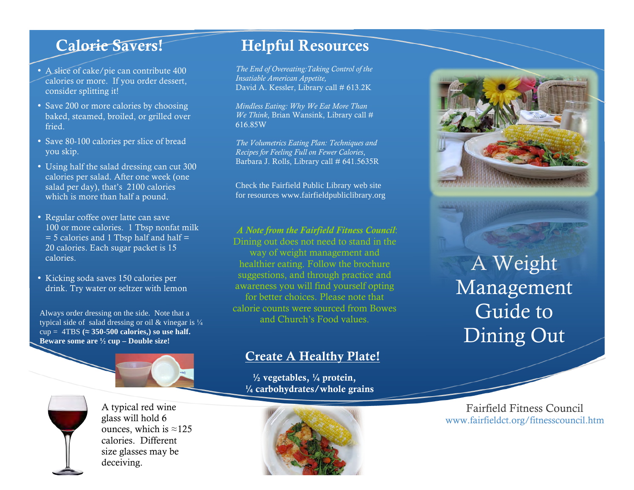## Calorie Savers!

- A slice of cake/pie can contribute 400 calories or more. If you order dessert, consider splitting it!
- Save 200 or more calories by choosing baked, steamed, broiled, or grilled over fried.
- Save 80-100 calories per slice of bread you skip.
- Using half the salad dressing can cut 300 calories per salad. After one week (one salad per day), that's 2100 calories which is more than half a pound.
- Regular coffee over latte can save 100 or more calories. 1 Tbsp nonfat milk  $=$  5 calories and 1 Tbsp half and half  $=$ 20 calories. Each sugar packet is 15 calories.
- Kicking soda saves 150 calories per drink. Try water or seltzer with lemon

Always order dressing on the side. Note that a and Church's Food values. typical side of salad dressing or oil & vinegar is  $\frac{1}{4}$  $cup = 4TBS \approx 350-500$  calories, so use half. **Beware some are ½ cup – Double size!**

A typical red wine glass will hold 6 ounces, which is  $\approx$ 125 calories. Different size glasses may be deceiving.

# Helpful Resources

*The End of Overeating:Taking Control of the Insatiable American Appetite,* David A. Kessler, Library call # 613.2K

*Mindless Eating: Why We Eat More Than We Think*, Brian Wansink, Library call # 616.85W

*The Volumetrics Eating Plan: Techniques and Recipes for Feeling Full on Fewer Calories*, Barbara J. Rolls, Library call # 641.5635R

Check the Fairfield Public Library web site for resources www.fairfieldpubliclibrary.org

#### *A Note from the Fairfield Fitness Council*:

Dining out does not need to stand in the way of weight management and healthier eating. Follow the brochure suggestions, and through practice and awareness you will find yourself opting for better choices. Please note that calorie counts were sourced from Bowes

### Create A Healthy Plate!

 $\frac{1}{2}$  vegetables,  $\frac{1}{4}$  protein, ¼ carbohydrates/whole grains





# A Weight Management Guide to Dining Out

Fairfield Fitness Council www.fairfieldct.org/fitnesscouncil.htm